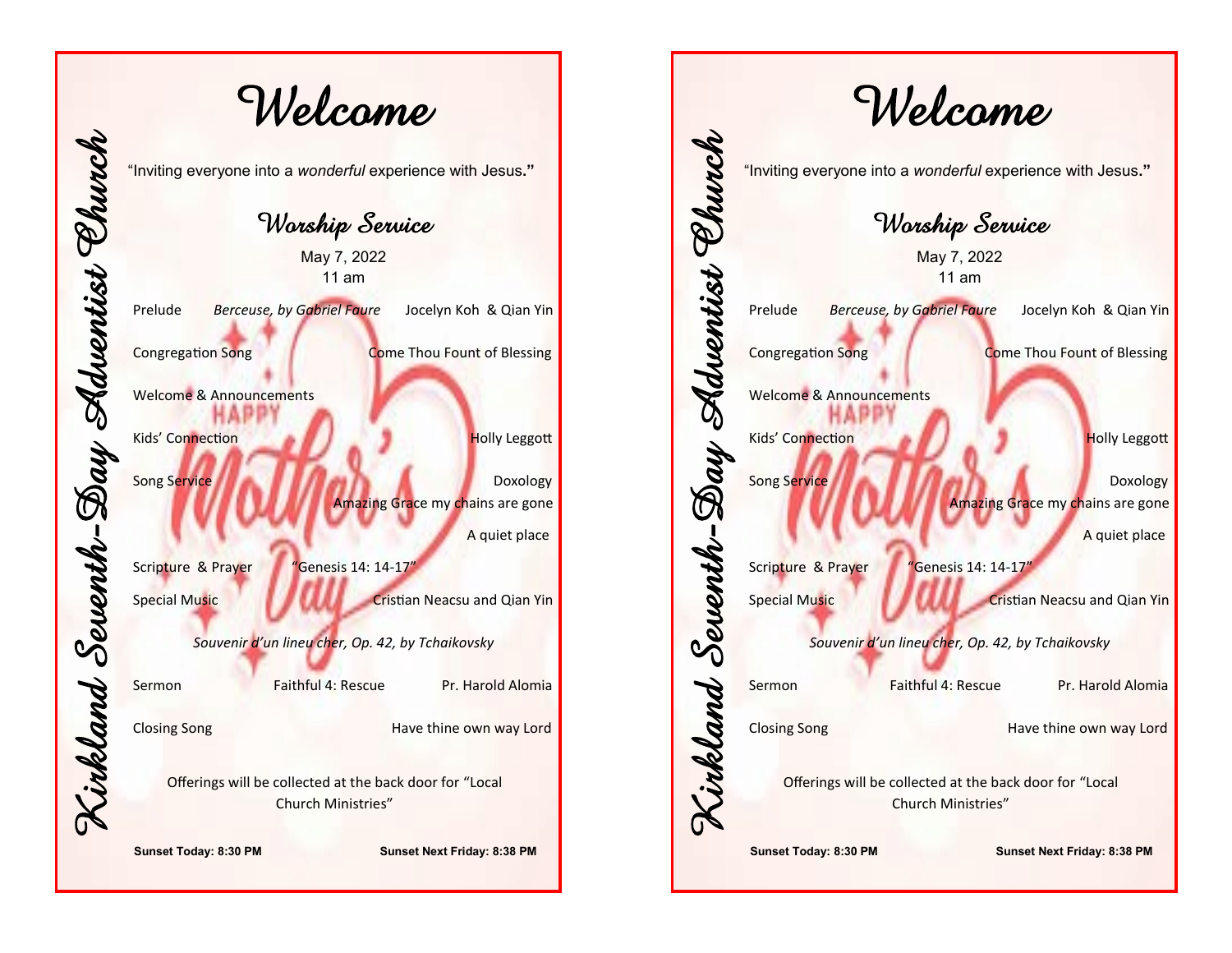